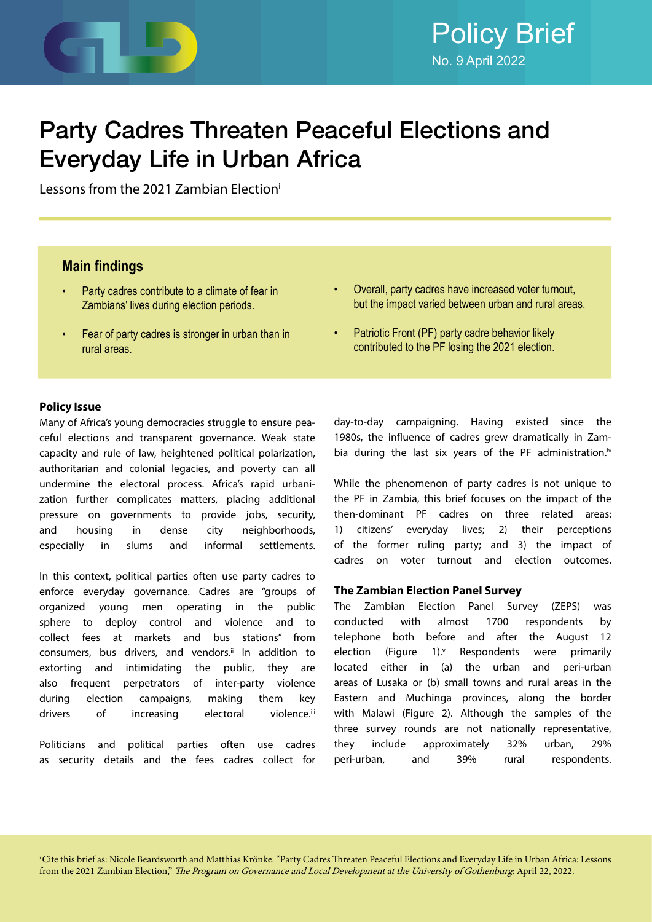

# Party Cadres Threaten Peaceful Elections and Everyday Life in Urban Africa

Lessons from the 2021 Zambian Electioni

# **Main findings**

- Party cadres contribute to a climate of fear in Zambians' lives during election periods.
- Fear of party cadres is stronger in urban than in rural areas.
- Overall, party cadres have increased voter turnout, but the impact varied between urban and rural areas.
- Patriotic Front (PF) party cadre behavior likely contributed to the PF losing the 2021 election.

# **Policy Issue**

Many of Africa's young democracies struggle to ensure peaceful elections and transparent governance. Weak state capacity and rule of law, heightened political polarization, authoritarian and colonial legacies, and poverty can all undermine the electoral process. Africa's rapid urbanization further complicates matters, placing additional pressure on governments to provide jobs, security, and housing in dense city neighborhoods, especially in slums and informal settlements.

In this context, political parties often use party cadres to enforce everyday governance. Cadres are "groups of organized young men operating in the public sphere to deploy control and violence and to collect fees at markets and bus stations" from consumers, bus drivers, and vendors.<sup>ii</sup> In addition to extorting and intimidating the public, they are also frequent perpetrators of inter-party violence during election campaigns, making them key drivers of increasing electoral violence.<sup>iii</sup>

Politicians and political parties often use cadres as security details and the fees cadres collect for day-to-day campaigning. Having existed since the 1980s, the influence of cadres grew dramatically in Zambia during the last six years of the PF administration.<sup>iv</sup>

While the phenomenon of party cadres is not unique to the PF in Zambia, this brief focuses on the impact of the then-dominant PF cadres on three related areas: 1) citizens' everyday lives; 2) their perceptions of the former ruling party; and 3) the impact of cadres on voter turnout and election outcomes.

# **The Zambian Election Panel Survey**

The Zambian Election Panel Survey (ZEPS) was conducted with almost 1700 respondents by telephone both before and after the August 12 election (Figure 1). $v$  Respondents were primarily located either in (a) the urban and peri-urban areas of Lusaka or (b) small towns and rural areas in the Eastern and Muchinga provinces, along the border with Malawi (Figure 2). Although the samples of the three survey rounds are not nationally representative, they include approximately 32% urban, 29% peri-urban, and 39% rural respondents.

i Cite this brief as: Nicole Beardsworth and Matthias Krönke. "Party Cadres Threaten Peaceful Elections and Everyday Life in Urban Africa: Lessons from the 2021 Zambian Election," The Program on Governance and Local Development at the University of Gothenburg: April 22, 2022.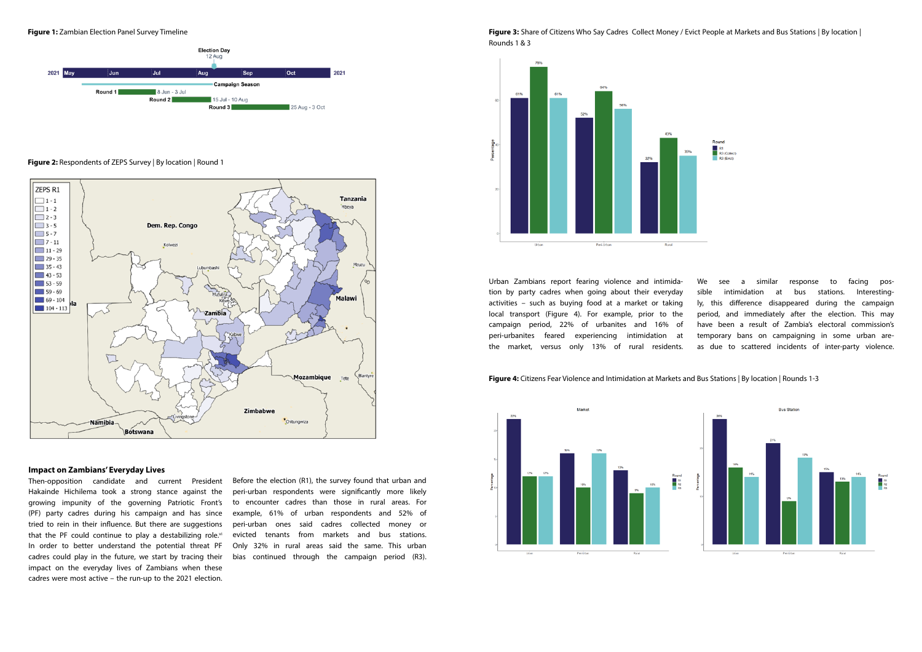#### **Figure 2:** Respondents of ZEPS Survey | By location | Round 1



# **Impact on Zambians' Everyday Lives**

Then-opposition candidate and current President Hakainde Hichilema took a strong stance against the growing impunity of the governing Patriotic Front's (PF) party cadres during his campaign and has since tried to rein in their influence. But there are suggestions that the PF could continue to play a destabilizing role. $vi$ In order to better understand the potential threat PF cadres could play in the future, we start by tracing their impact on the everyday lives of Zambians when these cadres were most active – the run-up to the 2021 election.

**Figure 3:** Share of Citizens Who Say Cadres Collect Money / Evict People at Markets and Bus Stations | By location | Rounds 1 & 3



Before the election (R1), the survey found that urban and peri-urban respondents were significantly more likely to encounter cadres than those in rural areas. For example, 61% of urban respondents and 52% of peri-urban ones said cadres collected money or evicted tenants from markets and bus stations. Only 32% in rural areas said the same. This urban bias continued through the campaign period (R3).

**Figure 1:** Zambian Election Panel Survey Timeline



Urban Zambians report fearing violence and intimidation by party cadres when going about their everyday activities – such as buying food at a market or taking local transport (Figure 4). For example, prior to the campaign period, 22% of urbanites and 16% of peri-urbanites feared experiencing intimidation at the market, versus only 13% of rural residents.

We see a similar response to facing possible intimidation at bus stations. Interestingly, this difference disappeared during the campaign period, and immediately after the election. This may have been a result of Zambia's electoral commission's temporary bans on campaigning in some urban areas due to scattered incidents of inter-party violence.

# **Figure 4:** Citizens Fear Violence and Intimidation at Markets and Bus Stations | By location | Rounds 1-3



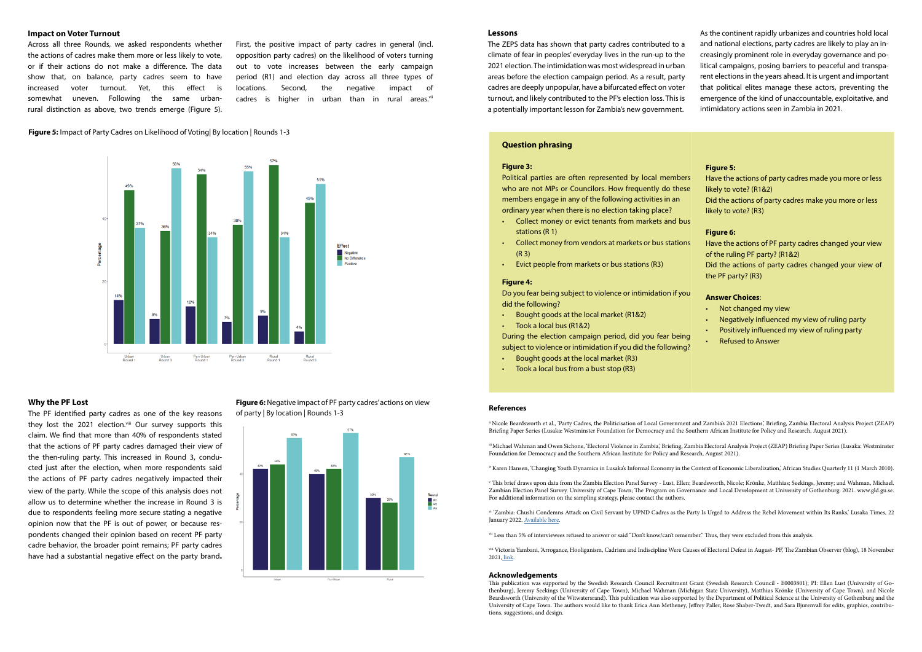# **Impact on Voter Turnout**

First, the positive impact of party cadres in general (incl. opposition party cadres) on the likelihood of voters turning out to vote increases between the early campaign period (R1) and election day across all three types of locations. Second, the negative impact of cadres is higher in urban than in rural areas.<sup>vii</sup>

Across all three Rounds, we asked respondents whether the actions of cadres make them more or less likely to vote, or if their actions do not make a difference. The data show that, on balance, party cadres seem to have increased voter turnout. Yet, this effect is somewhat uneven. Following the same urbanrural distinction as above, two trends emerge (Figure 5).

## **Why the PF Lost**

The PF identified party cadres as one of the key reasons they lost the 2021 election.<sup>viii</sup> Our survey supports this claim. We find that more than 40% of respondents stated that the actions of PF party cadres damaged their view of the then-ruling party. This increased in Round 3, conducted just after the election, when more respondents said the actions of PF party cadres negatively impacted their view of the party. While the scope of this analysis does not allow us to determine whether the increase in Round 3 is due to respondents feeling more secure stating a negative opinion now that the PF is out of power, or because respondents changed their opinion based on recent PF party cadre behavior, the broader point remains; PF party cadres have had a substantial negative effect on the party brand**.** 

**Figure 6:** Negative impact of PF party cadres' actions on view of party | By location | Rounds 1-3



### **Lessons**

The ZEPS data has shown that party cadres contributed to a climate of fear in peoples' everyday lives in the run-up to the 2021 election. The intimidation was most widespread in urban areas before the election campaign period. As a result, party cadres are deeply unpopular, have a bifurcated effect on voter turnout, and likely contributed to the PF's election loss. This is a potentially important lesson for Zambia's new government.

#### **Figure 4:**

Do you fear being subject to violence or intimidation if you did the following?

- Bought goods at the local market (R1&2)
- Took a local bus (R1&2)

During the election campaign period, did you fear being subject to violence or intimidation if you did the following?

- Bought goods at the local market (R3)
- Took a local bus from a bust stop (R3)

# **Question phrasing**

#### **Figure 3:**

Political parties are often represented by local members who are not MPs or Councilors. How frequently do these members engage in any of the following activities in an ordinary year when there is no election taking place?

- Collect money or evict tenants from markets and bus stations (R 1)
- Collect money from vendors at markets or bus stations (R 3)
- Evict people from markets or bus stations (R3)

### **Figure 5:** Impact of Party Cadres on Likelihood of Voting| By location | Rounds 1-3



# **Figure 5:**

Have the actions of party cadres made you more or less likely to vote? (R1&2) Did the actions of party cadres make you more or less likely to vote? (R3)

# **Figure 6:**

Have the actions of PF party cadres changed your view of the ruling PF party? (R1&2) Did the actions of party cadres changed your view of the PF party? (R3)

## **Answer Choices**:

- Not changed my view
- Negatively influenced my view of ruling party
- Positively influenced my view of ruling party
- Refused to Answer

As the continent rapidly urbanizes and countries hold local and national elections, party cadres are likely to play an increasingly prominent role in everyday governance and political campaigns, posing barriers to peaceful and transparent elections in the years ahead. It is urgent and important that political elites manage these actors, preventing the emergence of the kind of unaccountable, exploitative, and intimidatory actions seen in Zambia in 2021.

#### **References**

ii Nicole Beardsworth et al., 'Party Cadres, the Politicisation of Local Government and Zambia's 2021 Elections,' Briefing, Zambia Electoral Analysis Project (ZEAP) Briefing Paper Series (Lusaka: Westminster Foundation for Democracy and the Southern African Institute for Policy and Research, August 2021).

iii Michael Wahman and Owen Sichone, 'Electoral Violence in Zambia,' Briefing, Zambia Electoral Analysis Project (ZEAP) Briefing Paper Series (Lusaka: Westminster Foundation for Democracy and the Southern African Institute for Policy and Research, August 2021).

iv Karen Hansen, 'Changing Youth Dynamics in Lusaka's Informal Economy in the Context of Economic Liberalization,' African Studies Quarterly 11 (1 March 2010).

v This brief draws upon data from the Zambia Election Panel Survey - Lust, Ellen; Beardsworth, Nicole; Krönke, Matthias; Seekings, Jeremy; and Wahman, Michael. Zambian Election Panel Survey. University of Cape Town; The Program on Governance and Local Development at University of Gothenburg: 2021. www.gld.gu.se. For additional information on the sampling strategy, please contact the authors.

vi 'Zambia: Chushi Condemns Attack on Civil Servant by UPND Cadres as the Party Is Urged to Address the Rebel Movement within Its Ranks,' Lusaka Times, 22 January 2022. [Available here.](https://www.lusakatimes.com/2022/01/22/chushi-condemns-attack-on-civil-servant-by-upnd-cadres-as-the-party-is-urged-to-address-the-rebel-movement-within-its-ranks)

vii Less than 5% of interviewees refused to answer or said "Don't know/can't remember." Thus, they were excluded from this analysis.

viii Victoria Yambani, 'Arrogance, Hooliganism, Cadrism and Indiscipline Were Causes of Electoral Defeat in August- PF,' The Zambian Observer (blog), 18 November 2021[, link.](https://zambianobserver.com/arrogance-hooliganism-cadrism-and-indiscipline-were-causes-of-electoral-defeat-in-august-pf/)

#### **Acknowledgements**

This publication was supported by the Swedish Research Council Recruitment Grant (Swedish Research Council - E0003801); PI: Ellen Lust (University of Gothenburg), Jeremy Seekings (University of Cape Town), Michael Wahman (Michigan State University), Matthias Krönke (University of Cape Town), and Nicole Beardsworth (University of the Witwatersrand). This publication was also supported by the Department of Political Science at the University of Gothenburg and the University of Cape Town. The authors would like to thank Erica Ann Metheney, Jeffrey Paller, Rose Shaber-Twedt, and Sara Bjurenvall for edits, graphics, contributions, suggestions, and design.